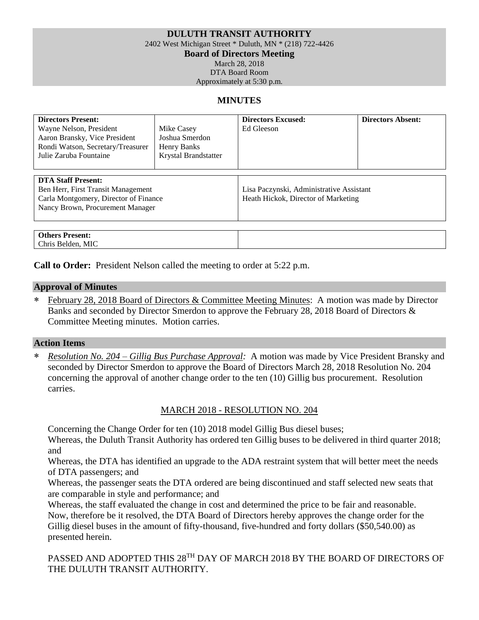# **DULUTH TRANSIT AUTHORITY**

2402 West Michigan Street \* Duluth, MN \* (218) 722-4426

**Board of Directors Meeting**

March 28, 2018

DTA Board Room Approximately at 5:30 p.m.

#### **MINUTES**

| <b>Directors Present:</b><br>Wayne Nelson, President<br>Aaron Bransky, Vice President<br>Rondi Watson, Secretary/Treasurer<br>Julie Zaruba Fountaine | Mike Casey<br>Joshua Smerdon<br>Henry Banks<br>Krystal Brandstatter | <b>Directors Excused:</b><br>Ed Gleeson                                         | <b>Directors Absent:</b> |  |
|------------------------------------------------------------------------------------------------------------------------------------------------------|---------------------------------------------------------------------|---------------------------------------------------------------------------------|--------------------------|--|
| <b>DTA Staff Present:</b><br>Ben Herr, First Transit Management<br>Carla Montgomery, Director of Finance<br>Nancy Brown, Procurement Manager         |                                                                     | Lisa Paczynski, Administrative Assistant<br>Heath Hickok, Director of Marketing |                          |  |
| <b>Others Present:</b><br>Chris Belden, MIC                                                                                                          |                                                                     |                                                                                 |                          |  |

**Call to Order:** President Nelson called the meeting to order at 5:22 p.m.

#### **Approval of Minutes**

February 28, 2018 Board of Directors & Committee Meeting Minutes: A motion was made by Director Banks and seconded by Director Smerdon to approve the February 28, 2018 Board of Directors & Committee Meeting minutes. Motion carries.

#### **Action Items**

 *Resolution No. 204 – Gillig Bus Purchase Approval:* A motion was made by Vice President Bransky and seconded by Director Smerdon to approve the Board of Directors March 28, 2018 Resolution No. 204 concerning the approval of another change order to the ten (10) Gillig bus procurement. Resolution carries.

### MARCH 2018 - RESOLUTION NO. 204

Concerning the Change Order for ten (10) 2018 model Gillig Bus diesel buses;

Whereas, the Duluth Transit Authority has ordered ten Gillig buses to be delivered in third quarter 2018; and

Whereas, the DTA has identified an upgrade to the ADA restraint system that will better meet the needs of DTA passengers; and

Whereas, the passenger seats the DTA ordered are being discontinued and staff selected new seats that are comparable in style and performance; and

Whereas, the staff evaluated the change in cost and determined the price to be fair and reasonable. Now, therefore be it resolved, the DTA Board of Directors hereby approves the change order for the Gillig diesel buses in the amount of fifty-thousand, five-hundred and forty dollars (\$50,540.00) as presented herein.

PASSED AND ADOPTED THIS 28<sup>TH</sup> DAY OF MARCH 2018 BY THE BOARD OF DIRECTORS OF THE DULUTH TRANSIT AUTHORITY.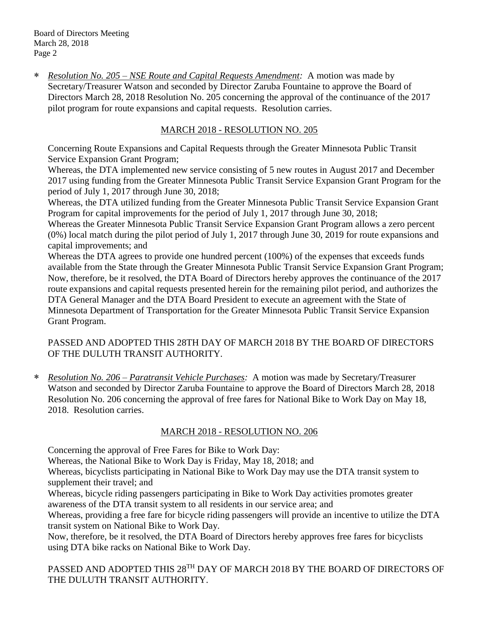Board of Directors Meeting March 28, 2018 Page 2

 *Resolution No. 205 – NSE Route and Capital Requests Amendment:* A motion was made by Secretary/Treasurer Watson and seconded by Director Zaruba Fountaine to approve the Board of Directors March 28, 2018 Resolution No. 205 concerning the approval of the continuance of the 2017 pilot program for route expansions and capital requests. Resolution carries.

# MARCH 2018 - RESOLUTION NO. 205

Concerning Route Expansions and Capital Requests through the Greater Minnesota Public Transit Service Expansion Grant Program;

Whereas, the DTA implemented new service consisting of 5 new routes in August 2017 and December 2017 using funding from the Greater Minnesota Public Transit Service Expansion Grant Program for the period of July 1, 2017 through June 30, 2018;

Whereas, the DTA utilized funding from the Greater Minnesota Public Transit Service Expansion Grant Program for capital improvements for the period of July 1, 2017 through June 30, 2018;

Whereas the Greater Minnesota Public Transit Service Expansion Grant Program allows a zero percent (0%) local match during the pilot period of July 1, 2017 through June 30, 2019 for route expansions and capital improvements; and

Whereas the DTA agrees to provide one hundred percent (100%) of the expenses that exceeds funds available from the State through the Greater Minnesota Public Transit Service Expansion Grant Program; Now, therefore, be it resolved, the DTA Board of Directors hereby approves the continuance of the 2017 route expansions and capital requests presented herein for the remaining pilot period, and authorizes the DTA General Manager and the DTA Board President to execute an agreement with the State of Minnesota Department of Transportation for the Greater Minnesota Public Transit Service Expansion Grant Program.

# PASSED AND ADOPTED THIS 28TH DAY OF MARCH 2018 BY THE BOARD OF DIRECTORS OF THE DULUTH TRANSIT AUTHORITY.

 *Resolution No. 206 – Paratransit Vehicle Purchases:* A motion was made by Secretary/Treasurer Watson and seconded by Director Zaruba Fountaine to approve the Board of Directors March 28, 2018 Resolution No. 206 concerning the approval of free fares for National Bike to Work Day on May 18, 2018. Resolution carries.

### MARCH 2018 - RESOLUTION NO. 206

Concerning the approval of Free Fares for Bike to Work Day:

Whereas, the National Bike to Work Day is Friday, May 18, 2018; and

Whereas, bicyclists participating in National Bike to Work Day may use the DTA transit system to supplement their travel; and

Whereas, bicycle riding passengers participating in Bike to Work Day activities promotes greater awareness of the DTA transit system to all residents in our service area; and

Whereas, providing a free fare for bicycle riding passengers will provide an incentive to utilize the DTA transit system on National Bike to Work Day.

Now, therefore, be it resolved, the DTA Board of Directors hereby approves free fares for bicyclists using DTA bike racks on National Bike to Work Day.

PASSED AND ADOPTED THIS 28<sup>TH</sup> DAY OF MARCH 2018 BY THE BOARD OF DIRECTORS OF THE DULUTH TRANSIT AUTHORITY.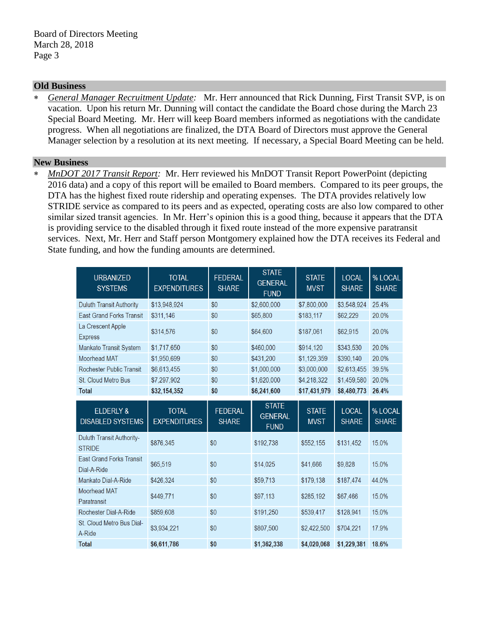### **Old Business**

 *General Manager Recruitment Update:* Mr. Herr announced that Rick Dunning, First Transit SVP, is on vacation. Upon his return Mr. Dunning will contact the candidate the Board chose during the March 23 Special Board Meeting. Mr. Herr will keep Board members informed as negotiations with the candidate progress. When all negotiations are finalized, the DTA Board of Directors must approve the General Manager selection by a resolution at its next meeting. If necessary, a Special Board Meeting can be held.

### **New Business**

 *MnDOT 2017 Transit Report:* Mr. Herr reviewed his MnDOT Transit Report PowerPoint (depicting 2016 data) and a copy of this report will be emailed to Board members. Compared to its peer groups, the DTA has the highest fixed route ridership and operating expenses. The DTA provides relatively low STRIDE service as compared to its peers and as expected, operating costs are also low compared to other similar sized transit agencies. In Mr. Herr's opinion this is a good thing, because it appears that the DTA is providing service to the disabled through it fixed route instead of the more expensive paratransit services. Next, Mr. Herr and Staff person Montgomery explained how the DTA receives its Federal and State funding, and how the funding amounts are determined.

| <b>URBANIZED</b><br><b>SYSTEMS</b>              | <b>TOTAL</b><br><b>EXPENDITURES</b> | <b>FEDERAL</b><br><b>SHARE</b> | <b>STATE</b><br><b>GENERAL</b><br><b>FUND</b> | <b>STATE</b><br><b>MVST</b> | <b>LOCAL</b><br><b>SHARE</b> | % LOCAL<br><b>SHARE</b> |
|-------------------------------------------------|-------------------------------------|--------------------------------|-----------------------------------------------|-----------------------------|------------------------------|-------------------------|
| <b>Duluth Transit Authority</b>                 | \$13,948,924                        | \$0                            | \$2,600,000                                   | \$7,800,000                 | \$3,548,924                  | 25.4%                   |
| <b>East Grand Forks Transit</b>                 | \$311,146                           | \$0                            | \$65,800                                      | \$183,117                   | \$62,229                     | 20.0%                   |
| La Crescent Apple<br><b>Express</b>             | \$314,576                           | \$0                            | \$64,600                                      | \$187,061                   | \$62,915                     | 20.0%                   |
| Mankato Transit System                          | \$1,717,650                         | \$0                            | \$460,000                                     | \$914,120                   | \$343,530                    | 20.0%                   |
| Moorhead MAT                                    | \$1,950,699                         | \$0                            | \$431,200                                     | \$1,129,359                 | \$390,140                    | 20.0%                   |
| <b>Rochester Public Transit</b>                 | \$6,613,455                         | \$0                            | \$1,000,000                                   | \$3,000,000                 | \$2,613,455                  | 39.5%                   |
| <b>St. Cloud Metro Bus</b>                      | \$7,297,902                         | \$0                            | \$1,620,000                                   | \$4,218,322                 | \$1,459,580                  | 20.0%                   |
| <b>Total</b>                                    | \$32,154,352                        | \$0                            | \$6,241,600                                   | \$17,431,979                | \$8,480,773                  | 26.4%                   |
| <b>ELDERLY &amp;</b><br><b>DISABLED SYSTEMS</b> | <b>TOTAL</b><br><b>EXPENDITURES</b> | <b>FEDERAL</b><br><b>SHARE</b> | <b>STATE</b><br><b>GENERAL</b><br><b>FUND</b> | <b>STATE</b><br><b>MVST</b> | <b>LOCAL</b><br><b>SHARE</b> | % LOCAL<br><b>SHARE</b> |
| Duluth Transit Authority-<br><b>STRIDE</b>      | \$876,345                           | \$0                            | \$192,738                                     | \$552,155                   | \$131,452                    | 15.0%                   |
| <b>East Grand Forks Transit</b><br>Dial-A-Ride  | \$65,519                            | \$0                            | \$14,025                                      | \$41,666                    | \$9,828                      | 15.0%                   |
| Mankato Dial-A-Ride                             | \$426,324                           | \$0                            | \$59,713                                      | \$179,138                   | \$187,474                    | 44.0%                   |
| <b>Moorhead MAT</b><br>Paratransit              | \$449,771                           | \$0                            | \$97,113                                      | \$285,192                   | \$67,466                     | 15.0%                   |
| Rochester Dial-A-Ride                           | \$859,608                           | \$0                            | \$191,250                                     | \$539,417                   | \$128,941                    | 15.0%                   |
| St. Cloud Metro Bus Dial-<br>A-Ride             | \$3,934,221                         | \$0                            | \$807,500                                     | \$2,422,500                 | \$704,221                    | 17.9%                   |
| <b>Total</b>                                    | \$6,611,786                         | \$0                            | \$1,362,338                                   | \$4,020,068                 | \$1,229,381                  | 18.6%                   |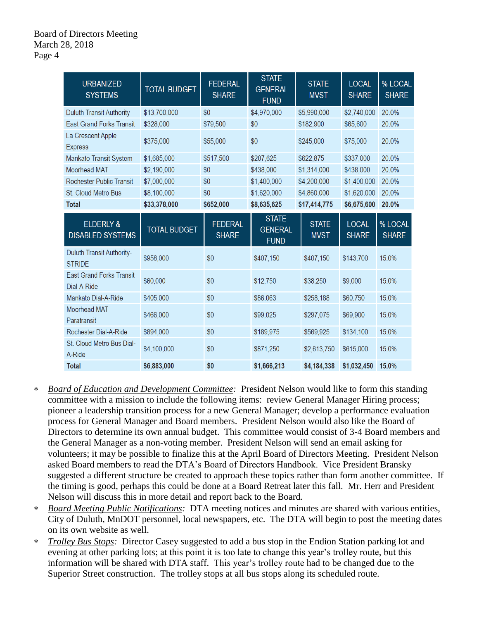| <b>URBANIZED</b><br><b>SYSTEMS</b>                | <b>TOTAL BUDGET</b> | <b>FEDERAL</b><br><b>SHARE</b> | <b>STATE</b><br><b>GENERAL</b><br><b>FUND</b> | <b>STATE</b><br><b>MVST</b> | <b>LOCAL</b><br><b>SHARE</b> | % LOCAL<br><b>SHARE</b> |
|---------------------------------------------------|---------------------|--------------------------------|-----------------------------------------------|-----------------------------|------------------------------|-------------------------|
| <b>Duluth Transit Authority</b>                   | \$13,700,000        | \$0                            | \$4,970,000                                   | \$5,990,000                 | \$2,740,000                  | 20.0%                   |
| <b>East Grand Forks Transit</b>                   | \$328,000           | \$79,500                       | \$0                                           | \$182,900                   | \$65,600                     | 20.0%                   |
| La Crescent Apple<br><b>Express</b>               | \$375,000           | \$55,000                       | \$0                                           | \$245,000                   | \$75,000                     | 20.0%                   |
| Mankato Transit System                            | \$1,685,000         | \$517,500                      | \$207,625                                     | \$622,875                   | \$337,000                    | 20.0%                   |
| <b>Moorhead MAT</b>                               | \$2,190,000         | \$0                            | \$438,000                                     | \$1,314,000                 | \$438,000                    | 20.0%                   |
| <b>Rochester Public Transit</b>                   | \$7,000,000         | \$0                            | \$1,400,000                                   | \$4,200,000                 | \$1,400,000                  | 20.0%                   |
| St. Cloud Metro Bus                               | \$8,100,000         | \$0                            | \$1,620,000                                   | \$4,860,000                 | \$1,620,000                  | 20.0%                   |
| <b>Total</b>                                      | \$33,378,000        | \$652,000                      | \$8,635,625                                   | \$17,414,775                | \$6,675,600                  | 20.0%                   |
| <b>ELDERLY &amp;</b><br><b>DISABLED SYSTEMS</b>   | <b>TOTAL BUDGET</b> | <b>FEDERAL</b><br><b>SHARE</b> | <b>STATE</b><br><b>GENERAL</b><br><b>FUND</b> | <b>STATE</b><br><b>MVST</b> | <b>LOCAL</b><br><b>SHARE</b> | % LOCAL<br><b>SHARE</b> |
| <b>Duluth Transit Authority-</b><br><b>STRIDE</b> | \$958,000           | \$0                            | \$407,150                                     | \$407,150                   | \$143,700                    | 15.0%                   |
| <b>East Grand Forks Transit</b><br>Dial-A-Ride    | \$60,000            | \$0                            | \$12,750                                      | \$38,250                    | \$9,000                      | 15.0%                   |
| Mankato Dial-A-Ride                               | \$405,000           | \$0                            | \$86,063                                      | \$258,188                   | \$60,750                     | 15.0%                   |
| Moorhead MAT<br>Paratransit                       | \$466,000           | \$0                            | \$99,025                                      | \$297,075                   | \$69,900                     | 15.0%                   |
| Rochester Dial-A-Ride                             | \$894,000           | \$0                            | \$189,975                                     | \$569,925                   | \$134,100                    | 15.0%                   |
| St. Cloud Metro Bus Dial-<br>A-Ride               | \$4,100,000         | \$0                            | \$871,250                                     | \$2,613,750                 | \$615,000                    | 15.0%                   |
| <b>Total</b>                                      | \$6,883,000         | \$0                            | \$1,666,213                                   | \$4,184,338                 | \$1,032,450                  | 15.0%                   |

- *Board of Education and Development Committee:* President Nelson would like to form this standing committee with a mission to include the following items: review General Manager Hiring process; pioneer a leadership transition process for a new General Manager; develop a performance evaluation process for General Manager and Board members. President Nelson would also like the Board of Directors to determine its own annual budget. This committee would consist of 3-4 Board members and the General Manager as a non-voting member. President Nelson will send an email asking for volunteers; it may be possible to finalize this at the April Board of Directors Meeting. President Nelson asked Board members to read the DTA's Board of Directors Handbook. Vice President Bransky suggested a different structure be created to approach these topics rather than form another committee. If the timing is good, perhaps this could be done at a Board Retreat later this fall. Mr. Herr and President Nelson will discuss this in more detail and report back to the Board.
- *Board Meeting Public Notifications:* DTA meeting notices and minutes are shared with various entities, City of Duluth, MnDOT personnel, local newspapers, etc. The DTA will begin to post the meeting dates on its own website as well.
- *Trolley Bus Stops:* Director Casey suggested to add a bus stop in the Endion Station parking lot and evening at other parking lots; at this point it is too late to change this year's trolley route, but this information will be shared with DTA staff. This year's trolley route had to be changed due to the Superior Street construction. The trolley stops at all bus stops along its scheduled route.